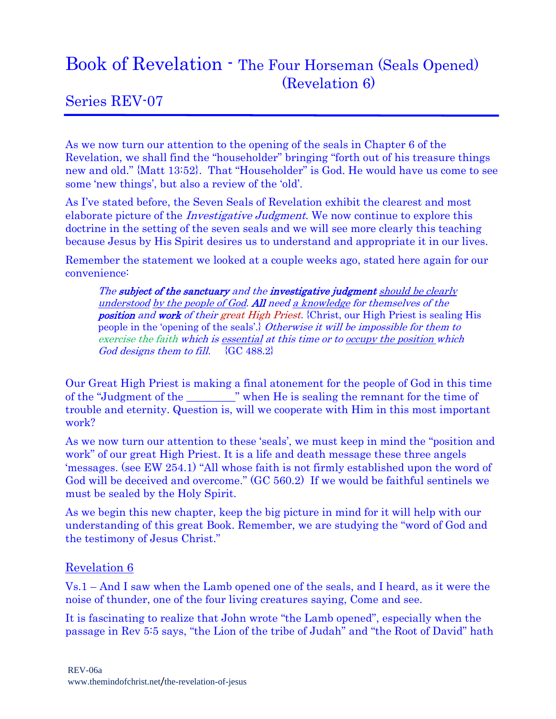## Book of Revelation - The Four Horseman (Seals Opened) (Revelation 6)

## Series REV-07

As we now turn our attention to the opening of the seals in Chapter 6 of the Revelation, we shall find the "householder" bringing "forth out of his treasure things new and old." {Matt 13:52}. That "Householder" is God. He would have us come to see some 'new things', but also a review of the 'old'.

As I've stated before, the Seven Seals of Revelation exhibit the clearest and most elaborate picture of the *Investigative Judgment*. We now continue to explore this doctrine in the setting of the seven seals and we will see more clearly this teaching because Jesus by His Spirit desires us to understand and appropriate it in our lives.

Remember the statement we looked at a couple weeks ago, stated here again for our convenience:

The subject of the sanctuary and the investigative judgment should be clearly understood by the people of God. All need a knowledge for themselves of the position and work of their great High Priest. {Christ, our High Priest is sealing His people in the 'opening of the seals'.} Otherwise it will be impossible for them to exercise the faith which is essential at this time or to occupy the position which God designs them to fill.  $\{GC\ 488.2\}$ 

Our Great High Priest is making a final atonement for the people of God in this time of the "Judgment of the \_\_\_\_\_\_\_\_\_" when He is sealing the remnant for the time of trouble and eternity. Question is, will we cooperate with Him in this most important work?

As we now turn our attention to these 'seals', we must keep in mind the "position and work" of our great High Priest. It is a life and death message these three angels 'messages. (see EW 254.1) "All whose faith is not firmly established upon the word of God will be deceived and overcome." (GC 560.2) If we would be faithful sentinels we must be sealed by the Holy Spirit.

As we begin this new chapter, keep the big picture in mind for it will help with our understanding of this great Book. Remember, we are studying the "word of God and the testimony of Jesus Christ."

## Revelation 6

Vs.1 – And I saw when the Lamb opened one of the seals, and I heard, as it were the noise of thunder, one of the four living creatures saying, Come and see.

It is fascinating to realize that John wrote "the Lamb opened", especially when the passage in Rev 5:5 says, "the Lion of the tribe of Judah" and "the Root of David" hath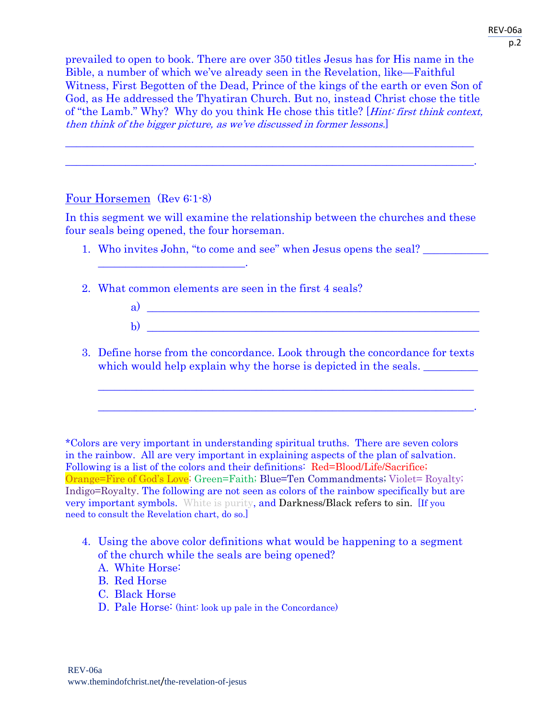prevailed to open to book. There are over 350 titles Jesus has for His name in the Bible, a number of which we've already seen in the Revelation, like—Faithful Witness, First Begotten of the Dead, Prince of the kings of the earth or even Son of God, as He addressed the Thyatiran Church. But no, instead Christ chose the title of "the Lamb." Why? Why do you think He chose this title? [Hint: first think context, then think of the bigger picture, as we've discussed in former lessons.]

 $\overline{\phantom{a}}$  , and the contribution of the contribution of the contribution of the contribution of the contribution of the contribution of the contribution of the contribution of the contribution of the contribution of the

 $\mathcal{L}_\text{max}$  and the contract of the contract of the contract of the contract of the contract of the contract of the contract of the contract of the contract of the contract of the contract of the contract of the contrac

## Four Horsemen (Rev 6:1-8)

 $\mathcal{L}_\text{max}$  and  $\mathcal{L}_\text{max}$  and  $\mathcal{L}_\text{max}$  and  $\mathcal{L}_\text{max}$ 

In this segment we will examine the relationship between the churches and these four seals being opened, the four horseman.

- 1. Who invites John, "to come and see" when Jesus opens the seal? \_\_\_\_\_\_\_\_\_\_\_\_\_\_
- 2. What common elements are seen in the first 4 seals?
	- a)  $\overline{\phantom{a}}$  $\mathbf{b}$ )
- 3. Define horse from the concordance. Look through the concordance for texts which would help explain why the horse is depicted in the seals.

 $\mathcal{L}_\text{max}$  and  $\mathcal{L}_\text{max}$  and  $\mathcal{L}_\text{max}$  and  $\mathcal{L}_\text{max}$  and  $\mathcal{L}_\text{max}$  and  $\mathcal{L}_\text{max}$ 

 $\mathcal{L}_\mathcal{L} = \mathcal{L}_\mathcal{L} = \mathcal{L}_\mathcal{L} = \mathcal{L}_\mathcal{L} = \mathcal{L}_\mathcal{L} = \mathcal{L}_\mathcal{L} = \mathcal{L}_\mathcal{L} = \mathcal{L}_\mathcal{L} = \mathcal{L}_\mathcal{L} = \mathcal{L}_\mathcal{L} = \mathcal{L}_\mathcal{L} = \mathcal{L}_\mathcal{L} = \mathcal{L}_\mathcal{L} = \mathcal{L}_\mathcal{L} = \mathcal{L}_\mathcal{L} = \mathcal{L}_\mathcal{L} = \mathcal{L}_\mathcal{L}$ 

\*Colors are very important in understanding spiritual truths. There are seven colors in the rainbow. All are very important in explaining aspects of the plan of salvation. Following is a list of the colors and their definitions: Red=Blood/Life/Sacrifice; Orange=Fire of God's Love; Green=Faith; Blue=Ten Commandments; Violet= Royalty; Indigo=Royalty. The following are not seen as colors of the rainbow specifically but are very important symbols. White is purity, and Darkness/Black refers to sin. [If you need to consult the Revelation chart, do so.]

- 4. Using the above color definitions what would be happening to a segment of the church while the seals are being opened?
	- A. White Horse:
	- B. Red Horse
	- C. Black Horse
	- D. Pale Horse: (hint: look up pale in the Concordance)